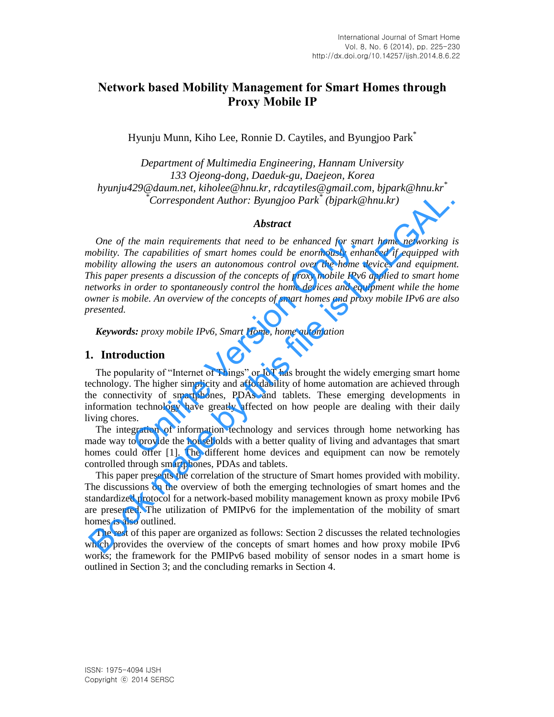# **Network based Mobility Management for Smart Homes through Proxy Mobile IP**

Hyunju Munn, Kiho Lee, Ronnie D. Caytiles, and Byungjoo Park\*

*Department of Multimedia Engineering, Hannam University 133 Ojeong-dong, Daeduk-gu, Daejeon, Korea hyunju429@daum.net, kiholee@hnu.kr, rdcaytiles@gmail.com, bjpark@hnu.kr\* \*Correspondent Author: Byungjoo Park\* (bjpark@hnu.kr)*

#### *Abstract*

*One of the main requirements that need to be enhanced for smart home networking is mobility. The capabilities of smart homes could be enormously enhanced if equipped with mobility allowing the users an autonomous control over the home devices and equipment. This paper presents a discussion of the concepts of proxy mobile IPv6 applied to smart home networks in order to spontaneously control the home devices and equipment while the home owner is mobile. An overview of the concepts of smart homes and proxy mobile IPv6 are also presented.*  the main requirements that need to be enhanced for smalle capabilities of smart homes could be enormously enhability of the serves an autonomous control over the home a presents a discussion of the concepts of proxy mobile Correspondent Author: Byungjoo Park<sup>2</sup> (bipark@hnu.kr)<br> **Abstract**<br>
One of the main requirements that need to be enhanced for smart home networking in<br>
colobility. The compolities of smart homes could be enormously enhanc

*Keywords: proxy mobile IPv6, Smart Home, home automation* 

# **1. Introduction**

The popularity of "Internet of Things" or IoT has brought the widely emerging smart home technology. The higher simplicity and affordability of home automation are achieved through the connectivity of smartphones, PDAs and tablets. These emerging developments in information technology have greatly affected on how people are dealing with their daily living chores.

The integration of information technology and services through home networking has made way to provide the households with a better quality of living and advantages that smart homes could offer [1]. The different home devices and equipment can now be remotely controlled through smartphones, PDAs and tablets.

This paper presents the correlation of the structure of Smart homes provided with mobility. The discussions on the overview of both the emerging technologies of smart homes and the standardized protocol for a network-based mobility management known as proxy mobile IPv6 are presented. The utilization of PMIPv6 for the implementation of the mobility of smart homes is also outlined.

The rest of this paper are organized as follows: Section 2 discusses the related technologies which provides the overview of the concepts of smart homes and how proxy mobile IPv6 works; the framework for the PMIPv6 based mobility of sensor nodes in a smart home is outlined in Section 3; and the concluding remarks in Section 4.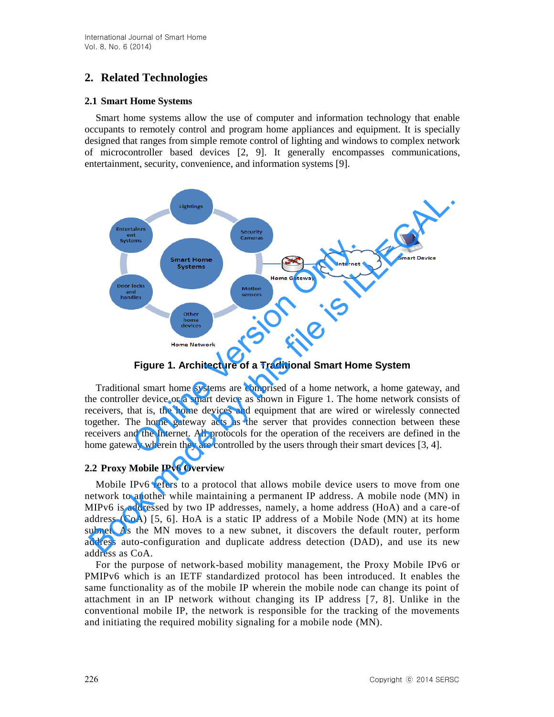# **2. Related Technologies**

#### **2.1 Smart Home Systems**

Smart home systems allow the use of computer and information technology that enable occupants to remotely control and program home appliances and equipment. It is specially designed that ranges from simple remote control of lighting and windows to complex network of microcontroller based devices [2, 9]. It generally encompasses communications, entertainment, security, convenience, and information systems [9].



## **Figure 1. Architecture of a Traditional Smart Home System**

Traditional smart home systems are comprised of a home network, a home gateway, and the controller device or a smart device as shown in Figure 1. The home network consists of receivers, that is, the home devices and equipment that are wired or wirelessly connected together. The home gateway acts as the server that provides connection between these receivers and the Internet. All protocols for the operation of the receivers are defined in the home gateway wherein they are controlled by the users through their smart devices [3, 4].

## **2.2 Proxy Mobile IPv6 Overview**

Mobile IPv6 refers to a protocol that allows mobile device users to move from one network to another while maintaining a permanent IP address. A mobile node (MN) in MIPv6 is addressed by two IP addresses, namely, a home address (HoA) and a care-of address (CoA) [5, 6]. HoA is a static IP address of a Mobile Node (MN) at its home subnet. As the MN moves to a new subnet, it discovers the default router, perform address auto-configuration and duplicate address detection (DAD), and use its new address as CoA.

For the purpose of network-based mobility management, the Proxy Mobile IPv6 or PMIPv6 which is an IETF standardized protocol has been introduced. It enables the same functionality as of the mobile IP wherein the mobile node can change its point of attachment in an IP network without changing its IP address [7, 8]. Unlike in the conventional mobile IP, the network is responsible for the tracking of the movements and initiating the required mobility signaling for a mobile node (MN).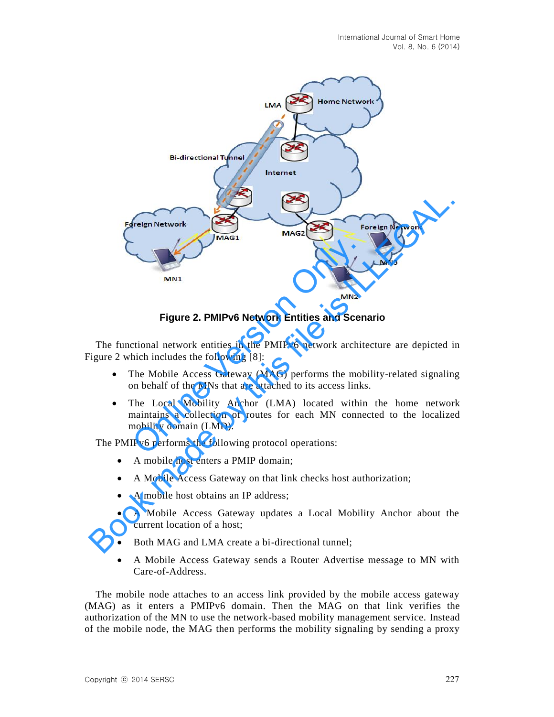

**Figure 2. PMIPv6 Network Entities and Scenario** 

The functional network entities in the PMIPv6 network architecture are depicted in Figure 2 which includes the following [8]:

- The Mobile Access Gateway (MAG) performs the mobility-related signaling on behalf of the MNs that are attached to its access links.
- The Local Mobility Anchor (LMA) located within the home network maintains a collection of routes for each MN connected to the localized mobility domain (LMD).

The PMIPv6 performs the following protocol operations:

- A mobile host enters a PMIP domain:
- A Mobile Access Gateway on that link checks host authorization;
- A mobile host obtains an IP address:
- A Mobile Access Gateway updates a Local Mobility Anchor about the current location of a host;
- Both MAG and LMA create a bi-directional tunnel;
- A Mobile Access Gateway sends a Router Advertise message to MN with Care-of-Address.

The mobile node attaches to an access link provided by the mobile access gateway (MAG) as it enters a PMIPv6 domain. Then the MAG on that link verifies the authorization of the MN to use the network-based mobility management service. Instead of the mobile node, the MAG then performs the mobility signaling by sending a proxy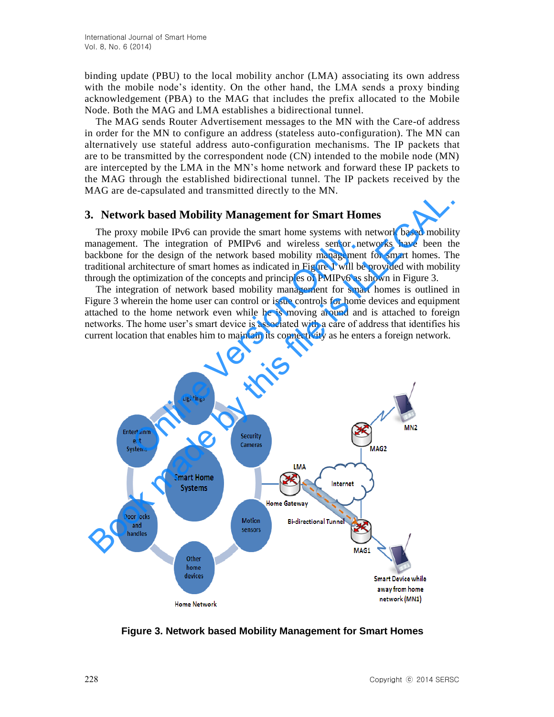binding update (PBU) to the local mobility anchor (LMA) associating its own address with the mobile node's identity. On the other hand, the LMA sends a proxy binding acknowledgement (PBA) to the MAG that includes the prefix allocated to the Mobile Node. Both the MAG and LMA establishes a bidirectional tunnel.

The MAG sends Router Advertisement messages to the MN with the Care-of address in order for the MN to configure an address (stateless auto-configuration). The MN can alternatively use stateful address auto-configuration mechanisms. The IP packets that are to be transmitted by the correspondent node (CN) intended to the mobile node (MN) are intercepted by the LMA in the MN's home network and forward these IP packets to the MAG through the established bidirectional tunnel. The IP packets received by the MAG are de-capsulated and transmitted directly to the MN.

#### **3. Network based Mobility Management for Smart Homes**

The proxy mobile IPv6 can provide the smart home systems with network based mobility management. The integration of PMIPv6 and wireless sensor networks have been the backbone for the design of the network based mobility management for smart homes. The traditional architecture of smart homes as indicated in Figure 1 will be provided with mobility through the optimization of the concepts and principles of PMIPv6 as shown in Figure 3.

The integration of network based mobility management for smart homes is outlined in Figure 3 wherein the home user can control or issue controls for home devices and equipment attached to the home network even while he is moving around and is attached to foreign networks. The home user's smart device is associated with a care of address that identifies his current location that enables him to maintain its connectivity as he enters a foreign network.



**Figure 3. Network based Mobility Management for Smart Homes**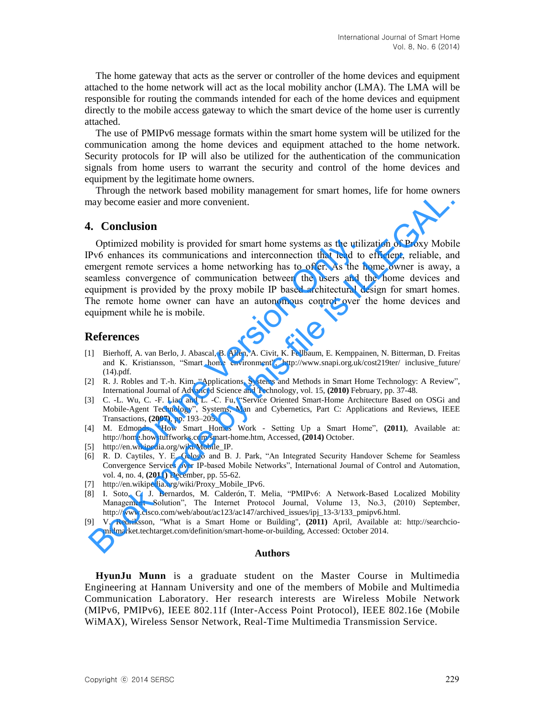The home gateway that acts as the server or controller of the home devices and equipment attached to the home network will act as the local mobility anchor (LMA). The LMA will be responsible for routing the commands intended for each of the home devices and equipment directly to the mobile access gateway to which the smart device of the home user is currently attached.

The use of PMIPv6 message formats within the smart home system will be utilized for the communication among the home devices and equipment attached to the home network. Security protocols for IP will also be utilized for the authentication of the communication signals from home users to warrant the security and control of the home devices and equipment by the legitimate home owners.

Through the network based mobility management for smart homes, life for home owners may become easier and more convenient.

## **4. Conclusion**

Optimized mobility is provided for smart home systems as the utilization of Proxy Mobile IPv6 enhances its communications and interconnection that lead to efficient, reliable, and emergent remote services a home networking has to offer. As the home owner is away, a seamless convergence of communication between the users and the home devices and equipment is provided by the proxy mobile IP based architectural design for smart homes. The remote home owner can have an autonomous control over the home devices and equipment while he is mobile. d mobility is provided for smart home systems as the utili<br>ces its communications and interconnection that lead to<br>emote services a home networking has to offer. As the h<br>onvergence of communication between the users and t From the method vacan moving management for smart nomes, the tot nome over<br>
In order of the state of the state of the state of the state of the state of the state of the state of the state of the state of the state of the

#### **References**

- [1] Bierhoff, A. van Berlo, J. Abascal, B. Allen, A. Civit, K. Fellbaum, E. Kemppainen, N. Bitterman, D. Freitas and K. Kristiansson, "Smart home environment", http://www.snapi.org.uk/cost219ter/ inclusive\_future/ (14).pdf.
- [2] R. J. Robles and T.-h. Kim, "Applications, Systems and Methods in Smart Home Technology: A Review", International Journal of Advanced Science and Technology, vol. 15, **(2010)** February, pp. 37-48.
- [3] C. -L. Wu, C. -F. Liao and L. -C. Fu, "Service Oriented Smart-Home Architecture Based on OSGi and Mobile-Agent Technology", Systems, Man and Cybernetics, Part C: Applications and Reviews, IEEE Transactions, **(2007)**, pp. 193–205.
- [4] M. Edmonds, "How Smart Homes Work Setting Up a Smart Home", **(2011)**, Available at: http://home.howstuffworks.com/smart-home.htm, Accessed, **(2014)** October.
- [5] http://en.wikipedia.org/wiki/Mobile\_IP.
- [6] R. D. Caytiles, Y. E. Gelogo and B. J. Park, "An Integrated Security Handover Scheme for Seamless Convergence Services over IP-based Mobile Networks", International Journal of Control and Automation, vol. 4, no. 4, **(2011)** December, pp. 55-62.
- [7] http://en.wikipedia.org/wiki/Proxy\_Mobile\_IPv6.
- [8] I. Soto, C. J. Bernardos, M. Calderón, T. Melia, "PMIPv6: A Network-Based Localized Mobility Management Solution", The Internet Protocol Journal, Volume 13, No.3, (2010) September, http://www.cisco.com/web/about/ac123/ac147/archived\_issues/ipj\_13-3/133\_pmipv6.html.
- [9] V. Redriksson, "What is a Smart Home or Building", **(2011)** April, Available at: http://searchciomidmarket.techtarget.com/definition/smart-home-or-building, Accessed: October 2014.

#### **Authors**

**HyunJu Munn** is a graduate student on the Master Course in Multimedia Engineering at Hannam University and one of the members of Mobile and Multimedia Communication Laboratory. Her research interests are Wireless Mobile Network (MIPv6, PMIPv6), IEEE 802.11f (Inter-Access Point Protocol), IEEE 802.16e (Mobile WiMAX), Wireless Sensor Network, Real-Time Multimedia Transmission Service.